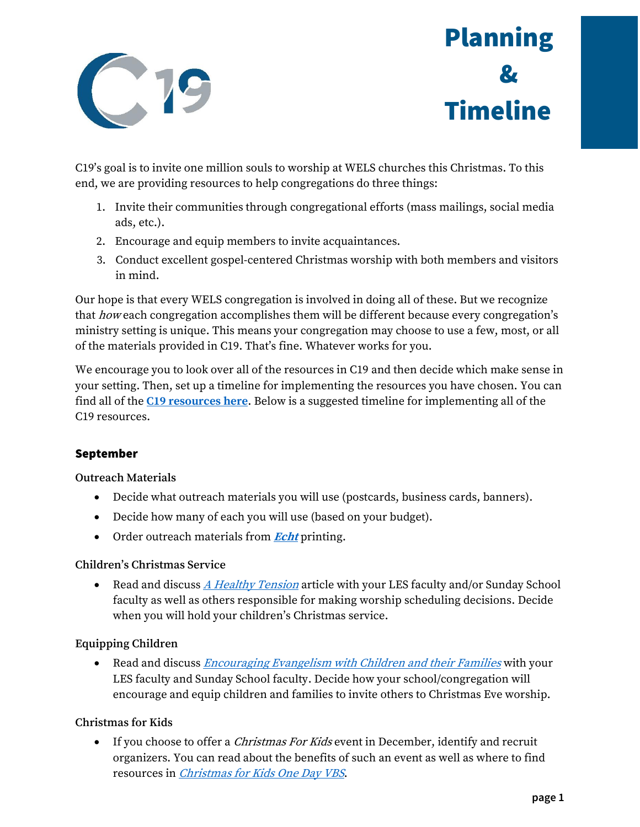

# Planning & Timeline

C19's goal is to invite one million souls to worship at WELS churches this Christmas. To this end, we are providing resources to help congregations do three things:

- 1. Invite their communities through congregational efforts (mass mailings, social media ads, etc.).
- 2. Encourage and equip members to invite acquaintances.
- 3. Conduct excellent gospel-centered Christmas worship with both members and visitors in mind.

Our hope is that every WELS congregation is involved in doing all of these. But we recognize that how each congregation accomplishes them will be different because every congregation's ministry setting is unique. This means your congregation may choose to use a few, most, or all of the materials provided in C19. That's fine. Whatever works for you.

We encourage you to look over all of the resources in C19 and then decide which make sense in your setting. Then, set up a timeline for implementing the resources you have chosen. You can find all of the **[C19 resources here](https://welscongregationalservices.net/c19/)**. Below is a suggested timeline for implementing all of the C19 resources.

# September

# **Outreach Materials**

- Decide what outreach materials you will use (postcards, business cards, banners).
- Decide how many of each you will use (based on your budget).
- Order outreach materials from **[Echt](https://www.echtprinting.com/wels-c19)** printing.

# **Children's Christmas Service**

• Read and discuss [A Healthy Tension](https://welscongregationalservices.net/download/c19-les-and-sunday-school-resources/?wpdmdl=699&ind=1564516666072) article with your LES faculty and/or Sunday School faculty as well as others responsible for making worship scheduling decisions. Decide when you will hold your children's Christmas service.

# **Equipping Children**

• Read and discuss *[Encouraging Evangelism with Children and their Families](https://welscongregationalservices.net/download/c19-les-and-sunday-school-resources/?wpdmdl=699&ind=1564516660759)* with your LES faculty and Sunday School faculty. Decide how your school/congregation will encourage and equip children and families to invite others to Christmas Eve worship.

# **Christmas for Kids**

• If you choose to offer a *Christmas For Kids* event in December, identify and recruit organizers. You can read about the benefits of such an event as well as where to find resources in *[Christmas for Kids One Day VBS](https://welscongregationalservices.net/download/c19-evangelism-resources/?wpdmdl=698&ind=1564516488002)*.